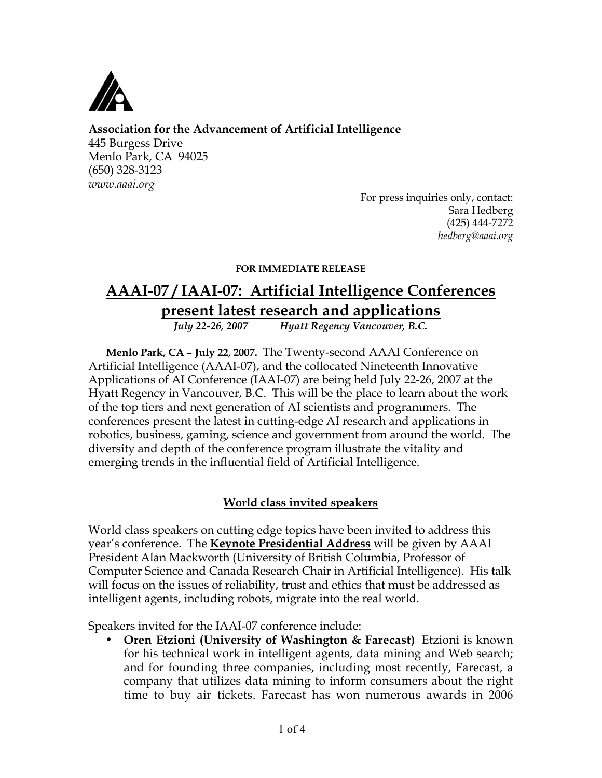

## **Association for the Advancement of Artificial Intelligence**

445 Burgess Drive Menlo Park, CA 94025 (650) 328-3123 *www.aaai.org*

For press inquiries only, contact: Sara Hedberg (425) 444-7272 *hedberg@aaai.org*

#### **FOR IMMEDIATE RELEASE**

# **AAAI-07 / IAAI-07: Artificial Intelligence Conferences present latest research and applications**<br>*July* 22-26, 2007 *Hyatt Regency Vancouver, B.C.*

*July 22-26, 2007 Hyatt Regency Vancouver, B.C.*

**Menlo Park, CA – July 22, 2007.** The Twenty-second AAAI Conference on Artificial Intelligence (AAAI-07), and the collocated Nineteenth Innovative Applications of AI Conference (IAAI-07) are being held July 22-26, 2007 at the Hyatt Regency in Vancouver, B.C. This will be the place to learn about the work of the top tiers and next generation of AI scientists and programmers. The conferences present the latest in cutting-edge AI research and applications in robotics, business, gaming, science and government from around the world. The diversity and depth of the conference program illustrate the vitality and emerging trends in the influential field of Artificial Intelligence.

## **World class invited speakers**

World class speakers on cutting edge topics have been invited to address this year's conference. The **Keynote Presidential Address** will be given by AAAI President Alan Mackworth (University of British Columbia, Professor of Computer Science and Canada Research Chair in Artificial Intelligence). His talk will focus on the issues of reliability, trust and ethics that must be addressed as intelligent agents, including robots, migrate into the real world.

Speakers invited for the IAAI-07 conference include:

• **Oren Etzioni (University of Washington & Farecast)** Etzioni is known for his technical work in intelligent agents, data mining and Web search; and for founding three companies, including most recently, Farecast, a company that utilizes data mining to inform consumers about the right time to buy air tickets. Farecast has won numerous awards in 2006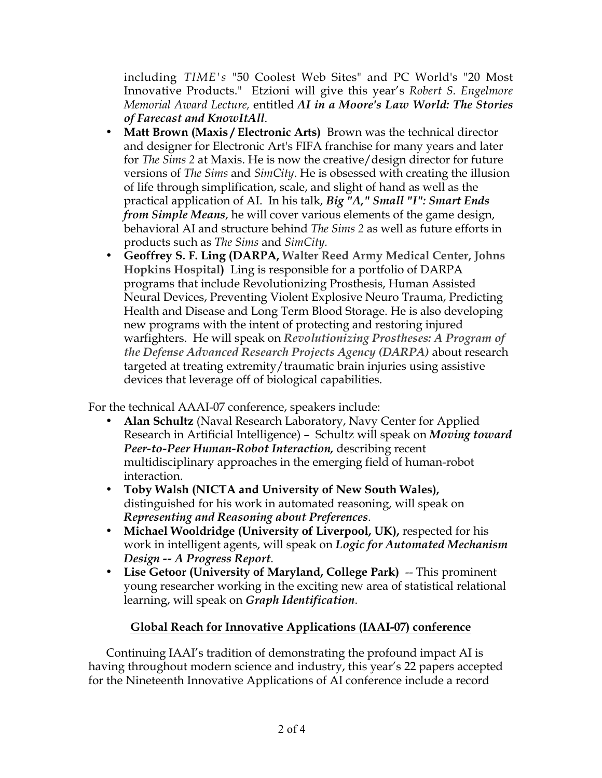including *TIME's* "50 Coolest Web Sites" and PC World's "20 Most Innovative Products." Etzioni will give this year's *Robert S. Engelmore Memorial Award Lecture,* entitled *AI in a Moore's Law World: The Stories of Farecast and KnowItAll*.

- **Matt Brown (Maxis / Electronic Arts)** Brown was the technical director and designer for Electronic Art's FIFA franchise for many years and later for *The Sims 2* at Maxis. He is now the creative/design director for future versions of *The Sims* and *SimCity*. He is obsessed with creating the illusion of life through simplification, scale, and slight of hand as well as the practical application of AI. In his talk, *Big "A," Small "I": Smart Ends from Simple Means*, he will cover various elements of the game design, behavioral AI and structure behind *The Sims 2* as well as future efforts in products such as *The Sims* and *SimCity.*
- **Geoffrey S. F. Ling (DARPA, Walter Reed Army Medical Center, Johns Hopkins Hospital)** Ling is responsible for a portfolio of DARPA programs that include Revolutionizing Prosthesis, Human Assisted Neural Devices, Preventing Violent Explosive Neuro Trauma, Predicting Health and Disease and Long Term Blood Storage. He is also developing new programs with the intent of protecting and restoring injured warfighters. He will speak on *Revolutionizing Prostheses: A Program of the Defense Advanced Research Projects Agency (DARPA)* about research targeted at treating extremity/traumatic brain injuries using assistive devices that leverage off of biological capabilities.

For the technical AAAI-07 conference, speakers include:

- **Alan Schultz** (Naval Research Laboratory, Navy Center for Applied Research in Artificial Intelligence) – Schultz will speak on *Moving toward Peer-to-Peer Human-Robot Interaction,* describing recent multidisciplinary approaches in the emerging field of human-robot interaction.
- **Toby Walsh (NICTA and University of New South Wales),** distinguished for his work in automated reasoning, will speak on *Representing and Reasoning about Preferences*.
- **Michael Wooldridge (University of Liverpool, UK),** respected for his work in intelligent agents, will speak on *Logic for Automated Mechanism Design -- A Progress Report*.
- **Lise Getoor (University of Maryland, College Park)** -- This prominent young researcher working in the exciting new area of statistical relational learning, will speak on *Graph Identification*.

# **Global Reach for Innovative Applications (IAAI-07) conference**

Continuing IAAI's tradition of demonstrating the profound impact AI is having throughout modern science and industry, this year's 22 papers accepted for the Nineteenth Innovative Applications of AI conference include a record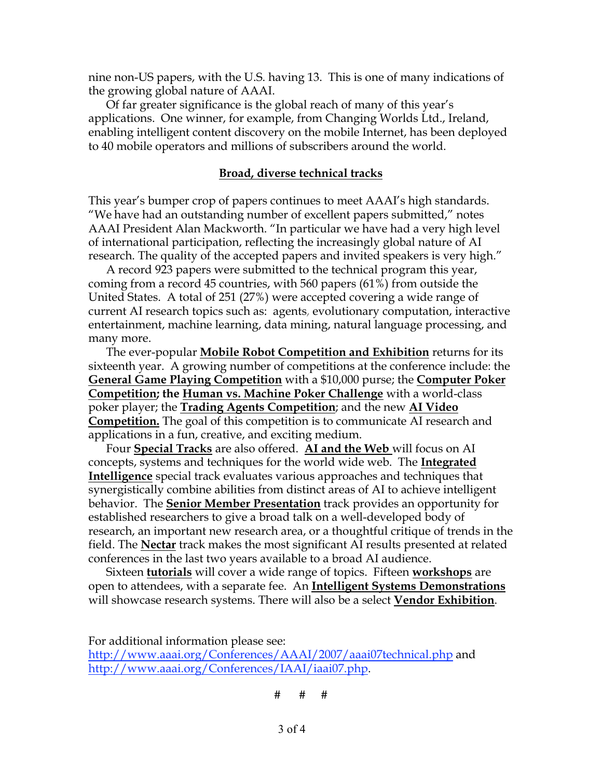nine non-US papers, with the U.S. having 13. This is one of many indications of the growing global nature of AAAI.

Of far greater significance is the global reach of many of this year's applications. One winner, for example, from Changing Worlds Ltd., Ireland, enabling intelligent content discovery on the mobile Internet, has been deployed to 40 mobile operators and millions of subscribers around the world.

#### **Broad, diverse technical tracks**

This year's bumper crop of papers continues to meet AAAI's high standards. "We have had an outstanding number of excellent papers submitted," notes AAAI President Alan Mackworth. "In particular we have had a very high level of international participation, reflecting the increasingly global nature of AI research. The quality of the accepted papers and invited speakers is very high."

A record 923 papers were submitted to the technical program this year, coming from a record 45 countries, with 560 papers (61%) from outside the United States. A total of 251 (27%) were accepted covering a wide range of current AI research topics such as: agents, evolutionary computation, interactive entertainment, machine learning, data mining, natural language processing, and many more.

The ever-popular **Mobile Robot Competition and Exhibition** returns for its sixteenth year. A growing number of competitions at the conference include: the **General Game Playing Competition** with a \$10,000 purse; the **Computer Poker Competition; the Human vs. Machine Poker Challenge** with a world-class poker player; the **Trading Agents Competition**; and the new **AI Video Competition.** The goal of this competition is to communicate AI research and applications in a fun, creative, and exciting medium.

Four **Special Tracks** are also offered. **AI and the Web** will focus on AI concepts, systems and techniques for the world wide web. The **Integrated Intelligence** special track evaluates various approaches and techniques that synergistically combine abilities from distinct areas of AI to achieve intelligent behavior. The **Senior Member Presentation** track provides an opportunity for established researchers to give a broad talk on a well-developed body of research, an important new research area, or a thoughtful critique of trends in the field. The **Nectar** track makes the most significant AI results presented at related conferences in the last two years available to a broad AI audience.

Sixteen **tutorials** will cover a wide range of topics. Fifteen **workshops** are open to attendees, with a separate fee. An **Intelligent Systems Demonstrations** will showcase research systems. There will also be a select **Vendor Exhibition**.

For additional information please see: http://www.aaai.org/Conferences/AAAI/2007/aaai07technical.php and http://www.aaai.org/Conferences/IAAI/iaai07.php.

# # #